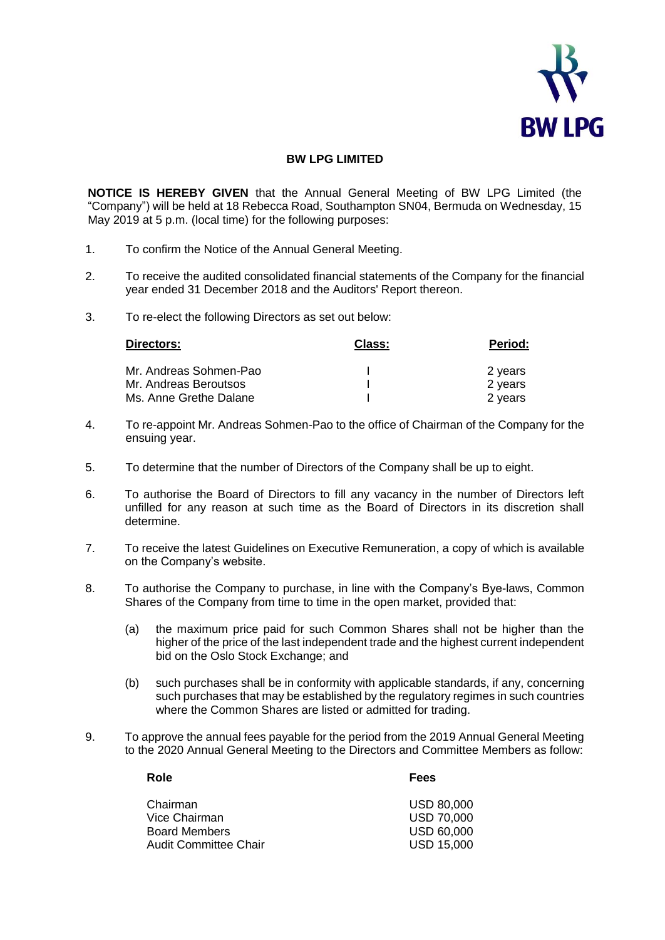

## **BW LPG LIMITED**

**NOTICE IS HEREBY GIVEN** that the Annual General Meeting of BW LPG Limited (the "Company") will be held at 18 Rebecca Road, Southampton SN04, Bermuda on Wednesday, 15 May 2019 at 5 p.m. (local time) for the following purposes:

- 1. To confirm the Notice of the Annual General Meeting.
- 2. To receive the audited consolidated financial statements of the Company for the financial year ended 31 December 2018 and the Auditors' Report thereon.
- 3. To re-elect the following Directors as set out below:

| Directors:             | Class: | <b>Period:</b> |
|------------------------|--------|----------------|
| Mr. Andreas Sohmen-Pao |        | 2 years        |
| Mr. Andreas Beroutsos  |        | 2 years        |
| Ms. Anne Grethe Dalane |        | 2 years        |

- 4. To re-appoint Mr. Andreas Sohmen-Pao to the office of Chairman of the Company for the ensuing year.
- 5. To determine that the number of Directors of the Company shall be up to eight.
- 6. To authorise the Board of Directors to fill any vacancy in the number of Directors left unfilled for any reason at such time as the Board of Directors in its discretion shall determine.
- 7. To receive the latest Guidelines on Executive Remuneration, a copy of which is available on the Company's website.
- 8. To authorise the Company to purchase, in line with the Company's Bye-laws, Common Shares of the Company from time to time in the open market, provided that:
	- (a) the maximum price paid for such Common Shares shall not be higher than the higher of the price of the last independent trade and the highest current independent bid on the Oslo Stock Exchange; and
	- (b) such purchases shall be in conformity with applicable standards, if any, concerning such purchases that may be established by the regulatory regimes in such countries where the Common Shares are listed or admitted for trading.
- 9. To approve the annual fees payable for the period from the 2019 Annual General Meeting to the 2020 Annual General Meeting to the Directors and Committee Members as follow:

| Chairman              | <b>USD 80,000</b> |
|-----------------------|-------------------|
| Vice Chairman         | <b>USD 70,000</b> |
| <b>Board Members</b>  | <b>USD 60,000</b> |
| Audit Committee Chair | <b>USD 15,000</b> |

**Role Fees**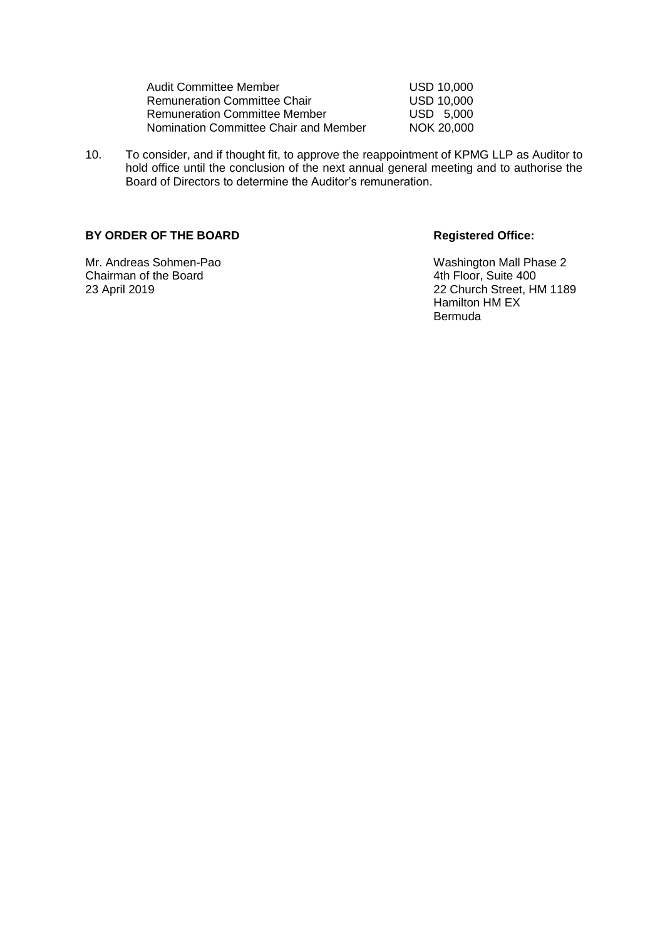| Audit Committee Member                |  |
|---------------------------------------|--|
| <b>Remuneration Committee Chair</b>   |  |
| <b>Remuneration Committee Member</b>  |  |
| Nomination Committee Chair and Member |  |

- USD 10,000 USD 10,000  $USD$  5,000  $NOK 20,000$
- 10. To consider, and if thought fit, to approve the reappointment of KPMG LLP as Auditor to hold office until the conclusion of the next annual general meeting and to authorise the Board of Directors to determine the Auditor's remuneration.

## BY ORDER OF THE BOARD Registered Office:

Chairman of the Board<br>23 April 2019

Mr. Andreas Sohmen-Pao **Mr. Andreas Sohmen-Pao** Washington Mall Phase 2<br>
Chairman of the Board Washington Chairman of the Board 22 Church Street, HM 1189 Hamilton HM EX Bermuda